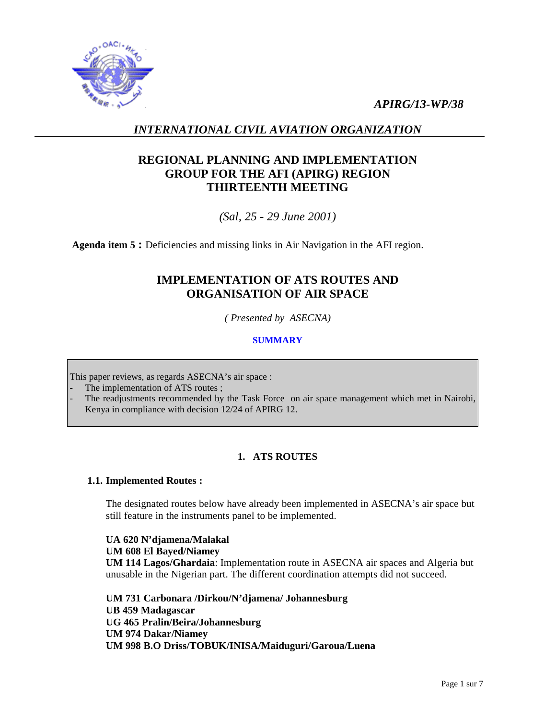*APIRG/13-WP/38*



# *INTERNATIONAL CIVIL AVIATION ORGANIZATION*

# **REGIONAL PLANNING AND IMPLEMENTATION GROUP FOR THE AFI (APIRG) REGION THIRTEENTH MEETING**

*(Sal, 25 - 29 June 2001)* 

**Agenda item 5 :** Deficiencies and missing links in Air Navigation in the AFI region.

# **IMPLEMENTATION OF ATS ROUTES AND ORGANISATION OF AIR SPACE**

*( Presented by ASECNA)* 

## **SUMMARY**

This paper reviews, as regards ASECNA's air space :

- The implementation of ATS routes ;
- The readjustments recommended by the Task Force on air space management which met in Nairobi, Kenya in compliance with decision 12/24 of APIRG 12.

# **1. ATS ROUTES**

## **1.1. Implemented Routes :**

The designated routes below have already been implemented in ASECNA's air space but still feature in the instruments panel to be implemented.

**UA 620 N'djamena/Malakal UM 608 El Bayed/Niamey UM 114 Lagos/Ghardaia**: Implementation route in ASECNA air spaces and Algeria but unusable in the Nigerian part. The different coordination attempts did not succeed.

**UM 731 Carbonara /Dirkou/N'djamena/ Johannesburg UB 459 Madagascar UG 465 Pralin/Beira/Johannesburg UM 974 Dakar/Niamey UM 998 B.O Driss/TOBUK/INISA/Maiduguri/Garoua/Luena**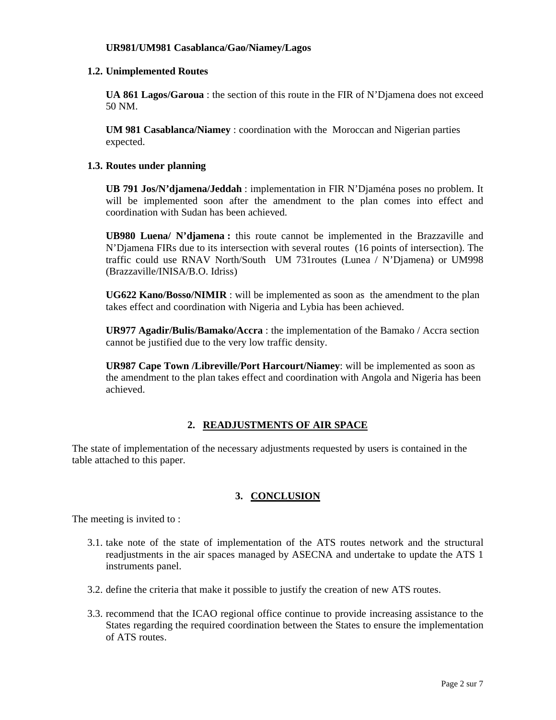### **UR981/UM981 Casablanca/Gao/Niamey/Lagos**

#### **1.2. Unimplemented Routes**

**UA 861 Lagos/Garoua** : the section of this route in the FIR of N'Djamena does not exceed 50 NM.

**UM 981 Casablanca/Niamey** : coordination with the Moroccan and Nigerian parties expected.

#### **1.3. Routes under planning**

**UB 791 Jos/N'djamena/Jeddah** : implementation in FIR N'Djaména poses no problem. It will be implemented soon after the amendment to the plan comes into effect and coordination with Sudan has been achieved.

**UB980 Luena/ N'djamena :** this route cannot be implemented in the Brazzaville and N'Djamena FIRs due to its intersection with several routes (16 points of intersection). The traffic could use RNAV North/South UM 731routes (Lunea / N'Djamena) or UM998 (Brazzaville/INISA/B.O. Idriss)

**UG622 Kano/Bosso/NIMIR** : will be implemented as soon as the amendment to the plan takes effect and coordination with Nigeria and Lybia has been achieved.

**UR977 Agadir/Bulis/Bamako/Accra** : the implementation of the Bamako / Accra section cannot be justified due to the very low traffic density.

**UR987 Cape Town /Libreville/Port Harcourt/Niamey**: will be implemented as soon as the amendment to the plan takes effect and coordination with Angola and Nigeria has been achieved.

### **2. READJUSTMENTS OF AIR SPACE**

The state of implementation of the necessary adjustments requested by users is contained in the table attached to this paper.

## **3. CONCLUSION**

The meeting is invited to :

- 3.1. take note of the state of implementation of the ATS routes network and the structural readjustments in the air spaces managed by ASECNA and undertake to update the ATS 1 instruments panel.
- 3.2. define the criteria that make it possible to justify the creation of new ATS routes.
- 3.3. recommend that the ICAO regional office continue to provide increasing assistance to the States regarding the required coordination between the States to ensure the implementation of ATS routes.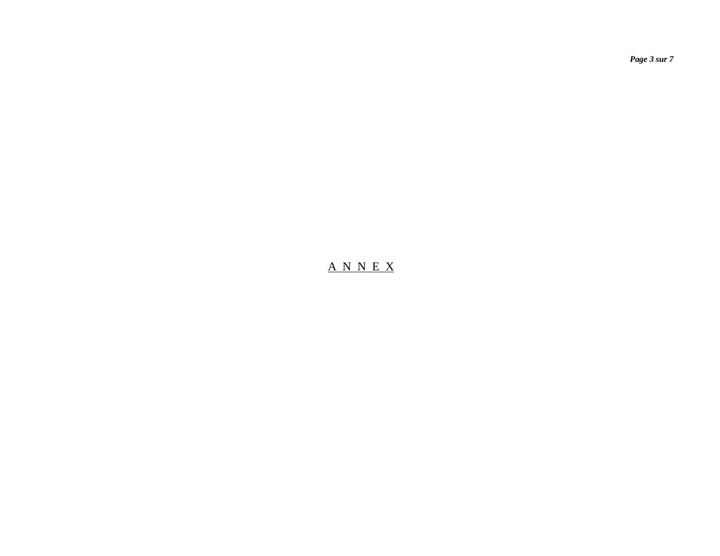*Page 3 sur 7* 

# A N N E X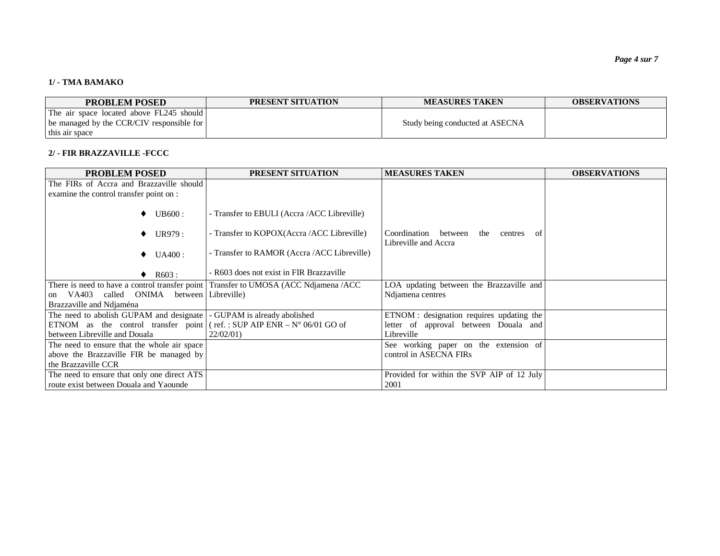#### **1/ - TMA BAMAKO**

| <b>PROBLEM POSED</b>                      | PRESENT SITUATION | <b>MEASURES TAKEN</b>           | <b>OBSERVATIONS</b> |
|-------------------------------------------|-------------------|---------------------------------|---------------------|
| The air space located above FL245 should  |                   |                                 |                     |
| be managed by the CCR/CIV responsible for |                   | Study being conducted at ASECNA |                     |
| this air space                            |                   |                                 |                     |

#### **2/ - FIR BRAZZAVILLE -FCCC**

| <b>PROBLEM POSED</b>                                                                 | PRESENT SITUATION                            | <b>MEASURES TAKEN</b>                                                     | <b>OBSERVATIONS</b> |
|--------------------------------------------------------------------------------------|----------------------------------------------|---------------------------------------------------------------------------|---------------------|
| The FIRs of Accra and Brazzaville should                                             |                                              |                                                                           |                     |
| examine the control transfer point on :                                              |                                              |                                                                           |                     |
| UB600:                                                                               | - Transfer to EBULI (Accra / ACC Libreville) |                                                                           |                     |
| UR979 :                                                                              | - Transfer to KOPOX(Accra/ACC Libreville)    | Coordination<br>between<br>the<br>centres<br>- of<br>Libreville and Accra |                     |
| <b>UA400:</b><br>$\bullet$                                                           | - Transfer to RAMOR (Accra / ACC Libreville) |                                                                           |                     |
| R603:                                                                                | - R603 does not exist in FIR Brazzaville     |                                                                           |                     |
| There is need to have a control transfer point Transfer to UMOSA (ACC Ndjamena /ACC) |                                              | LOA updating between the Brazzaville and                                  |                     |
| ONIMA between Libreville<br>called<br>VA403<br>on                                    |                                              | Ndjamena centres                                                          |                     |
| Brazzaville and Ndjaména                                                             |                                              |                                                                           |                     |
| The need to abolish GUPAM and designate   - GUPAM is already abolished               |                                              | ETNOM : designation requires updating the                                 |                     |
| ETNOM as the control transfer point (ref.: SUP AIP ENR – $N^{\circ}$ 06/01 GO of     |                                              | letter of approval between Douala and                                     |                     |
| between Libreville and Douala                                                        | 22/02/01                                     | Libreville                                                                |                     |
| The need to ensure that the whole air space                                          |                                              | See working paper on the extension of                                     |                     |
| above the Brazzaville FIR be managed by                                              |                                              | control in ASECNA FIR <sub>s</sub>                                        |                     |
| the Brazzaville CCR                                                                  |                                              |                                                                           |                     |
| The need to ensure that only one direct ATS                                          |                                              | Provided for within the SVP AIP of 12 July                                |                     |
| route exist between Douala and Yaounde                                               |                                              | 2001                                                                      |                     |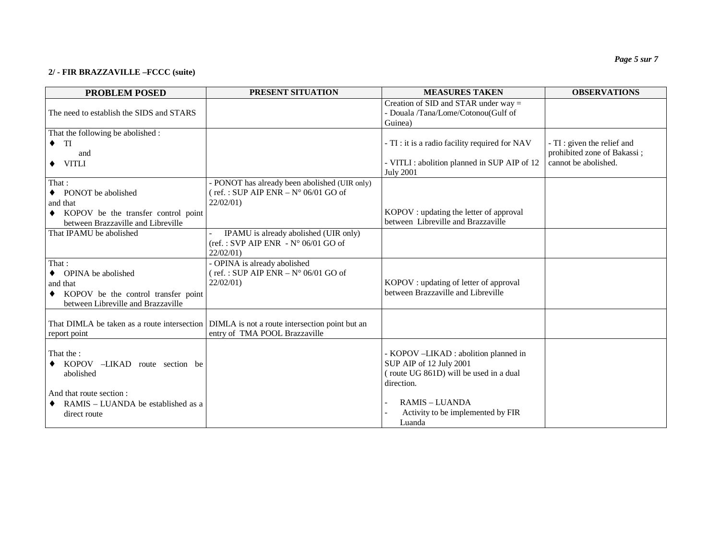## **2/ - FIR BRAZZAVILLE –FCCC (suite)**

| <b>PROBLEM POSED</b>                                                                                                                     | PRESENT SITUATION                                                                                                           | <b>MEASURES TAKEN</b>                                                                                                     | <b>OBSERVATIONS</b>                                                                |
|------------------------------------------------------------------------------------------------------------------------------------------|-----------------------------------------------------------------------------------------------------------------------------|---------------------------------------------------------------------------------------------------------------------------|------------------------------------------------------------------------------------|
| The need to establish the SIDS and STARS                                                                                                 |                                                                                                                             | Creation of SID and STAR under $way =$<br>- Douala /Tana/Lome/Cotonou(Gulf of<br>Guinea)                                  |                                                                                    |
| That the following be abolished :<br>TI<br>$\bullet$<br>and<br>$\bullet$ VITLI                                                           |                                                                                                                             | - TI : it is a radio facility required for NAV<br>- VITLI : abolition planned in SUP AIP of 12<br><b>July 2001</b>        | - TI : given the relief and<br>prohibited zone of Bakassi;<br>cannot be abolished. |
| That:<br>• PONOT be abolished<br>and that<br>• KOPOV be the transfer control point<br>between Brazzaville and Libreville                 | - PONOT has already been abolished (UIR only)<br>(ref.: SUP AIP ENR $- N^{\circ}$ 06/01 GO of<br>22/02/01                   | KOPOV: updating the letter of approval<br>between Libreville and Brazzaville                                              |                                                                                    |
| That IPAMU be abolished                                                                                                                  | IPAMU is already abolished (UIR only)<br>(ref.: SVP AIP ENR - $N^{\circ}$ 06/01 GO of<br>22/02/01                           |                                                                                                                           |                                                                                    |
| That:<br>$\leftrightarrow$ OPINA be abolished<br>and that<br>• KOPOV be the control transfer point<br>between Libreville and Brazzaville | - OPINA is already abolished<br>(ref.: SUP AIP ENR $- N^{\circ}$ 06/01 GO of<br>22/02/01                                    | KOPOV: updating of letter of approval<br>between Brazzaville and Libreville                                               |                                                                                    |
| report point                                                                                                                             | That DIMLA be taken as a route intersection DIMLA is not a route intersection point but an<br>entry of TMA POOL Brazzaville |                                                                                                                           |                                                                                    |
| That the :<br>KOPOV -LIKAD route section be<br>$\bullet$<br>abolished                                                                    |                                                                                                                             | - KOPOV – LIKAD : abolition planned in<br>SUP AIP of 12 July 2001<br>(route UG 861D) will be used in a dual<br>direction. |                                                                                    |
| And that route section :<br>RAMIS – LUANDA be established as a<br>direct route                                                           |                                                                                                                             | <b>RAMIS - LUANDA</b><br>Activity to be implemented by FIR<br>Luanda                                                      |                                                                                    |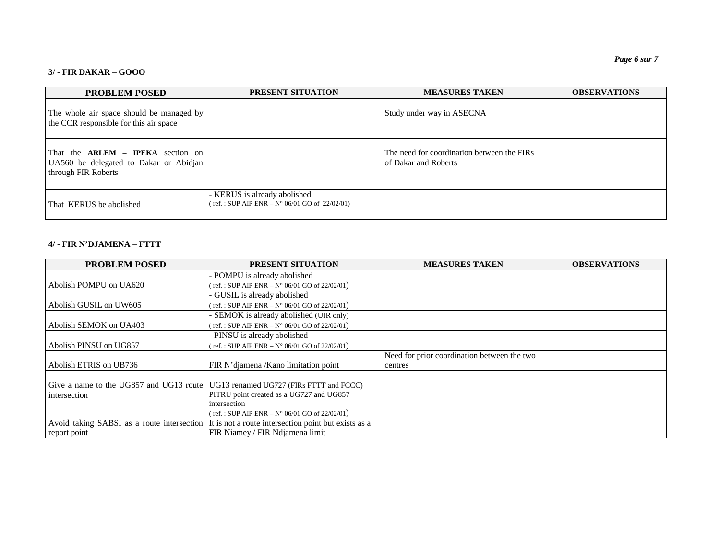#### **3/ - FIR DAKAR – GOOO**

| <b>PROBLEM POSED</b>                                                                                        | PRESENT SITUATION                                                                      | <b>MEASURES TAKEN</b>                                              | <b>OBSERVATIONS</b> |
|-------------------------------------------------------------------------------------------------------------|----------------------------------------------------------------------------------------|--------------------------------------------------------------------|---------------------|
| The whole air space should be managed by<br>the CCR responsible for this air space                          |                                                                                        | Study under way in ASECNA                                          |                     |
| That the $ARLEM$ – <b>IPEKA</b> section on<br>UA560 be delegated to Dakar or Abidjan<br>through FIR Roberts |                                                                                        | The need for coordination between the FIRs<br>of Dakar and Roberts |                     |
| That KERUS be abolished                                                                                     | - KERUS is already abolished<br>(ref.: SUP AIP ENR – $N^{\circ}$ 06/01 GO of 22/02/01) |                                                                    |                     |

#### **4/ - FIR N'DJAMENA – FTTT**

| <b>PROBLEM POSED</b>   | PRESENT SITUATION                                                                               | <b>MEASURES TAKEN</b>                       | <b>OBSERVATIONS</b> |
|------------------------|-------------------------------------------------------------------------------------------------|---------------------------------------------|---------------------|
|                        | - POMPU is already abolished                                                                    |                                             |                     |
| Abolish POMPU on UA620 | $(ref. : SUP AIP ENR - No 06/01 GO of 22/02/01)$                                                |                                             |                     |
|                        | - GUSIL is already abolished                                                                    |                                             |                     |
| Abolish GUSIL on UW605 | (ref.: SUP AIP ENR – $N^{\circ}$ 06/01 GO of 22/02/01)                                          |                                             |                     |
|                        | - SEMOK is already abolished (UIR only)                                                         |                                             |                     |
| Abolish SEMOK on UA403 | (ref.: SUP AIP ENR – $N^{\circ}$ 06/01 GO of 22/02/01)                                          |                                             |                     |
|                        | - PINSU is already abolished                                                                    |                                             |                     |
| Abolish PINSU on UG857 | (ref.: SUP AIP ENR – $N^{\circ}$ 06/01 GO of 22/02/01)                                          |                                             |                     |
|                        |                                                                                                 | Need for prior coordination between the two |                     |
| Abolish ETRIS on UB736 | FIR N'djamena /Kano limitation point                                                            | centres                                     |                     |
|                        |                                                                                                 |                                             |                     |
|                        | Give a name to the UG857 and UG13 route   UG13 renamed UG727 (FIRs FTTT and FCCC)               |                                             |                     |
| intersection           | PITRU point created as a UG727 and UG857                                                        |                                             |                     |
|                        | intersection                                                                                    |                                             |                     |
|                        | (ref.: SUP AIP ENR – $N^{\circ}$ 06/01 GO of 22/02/01)                                          |                                             |                     |
|                        | Avoid taking SABSI as a route intersection It is not a route intersection point but exists as a |                                             |                     |
| report point           | FIR Niamey / FIR Ndjamena limit                                                                 |                                             |                     |